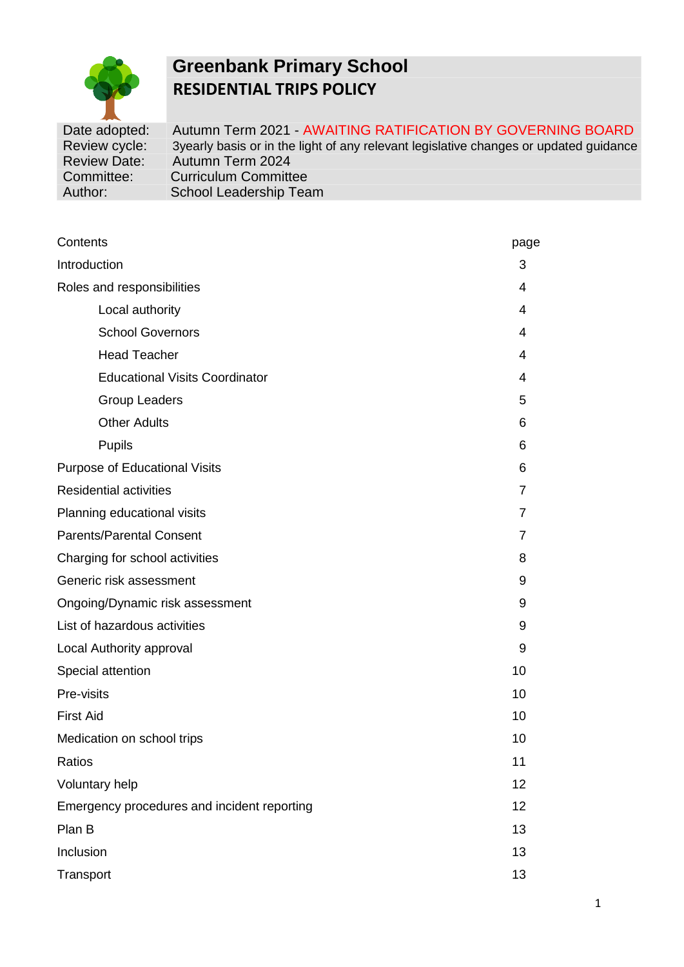

# **Greenbank Primary School RESIDENTIAL TRIPS POLICY**

Date adopted: Autumn Term 2021 - AWAITING RATIFICATION BY GOVERNING BOARD Review cycle: 3yearly basis or in the light of any relevant legislative changes or updated guidance<br>Review Date: Autumn Term 2024 Autumn Term 2024 Committee: Curriculum Committee Author: School Leadership Team

| Contents                                    | page           |  |  |
|---------------------------------------------|----------------|--|--|
| Introduction                                | 3              |  |  |
| Roles and responsibilities                  | 4              |  |  |
| Local authority                             | 4              |  |  |
| <b>School Governors</b>                     | 4              |  |  |
| <b>Head Teacher</b>                         | 4              |  |  |
| <b>Educational Visits Coordinator</b>       | 4              |  |  |
| <b>Group Leaders</b>                        | 5              |  |  |
| <b>Other Adults</b>                         | 6              |  |  |
| <b>Pupils</b>                               | 6              |  |  |
| <b>Purpose of Educational Visits</b>        |                |  |  |
| <b>Residential activities</b>               | 7              |  |  |
| Planning educational visits                 | $\overline{7}$ |  |  |
| <b>Parents/Parental Consent</b>             | 7              |  |  |
| Charging for school activities              | 8              |  |  |
| Generic risk assessment                     | 9              |  |  |
| Ongoing/Dynamic risk assessment             | 9              |  |  |
| List of hazardous activities                | 9              |  |  |
| Local Authority approval                    | 9              |  |  |
| Special attention                           | 10             |  |  |
| Pre-visits                                  | 10             |  |  |
| <b>First Aid</b>                            | 10             |  |  |
| Medication on school trips                  | 10             |  |  |
| Ratios                                      | 11             |  |  |
| Voluntary help                              | 12             |  |  |
| Emergency procedures and incident reporting | 12             |  |  |
| Plan B                                      | 13             |  |  |
| Inclusion                                   | 13             |  |  |
| Transport                                   | 13             |  |  |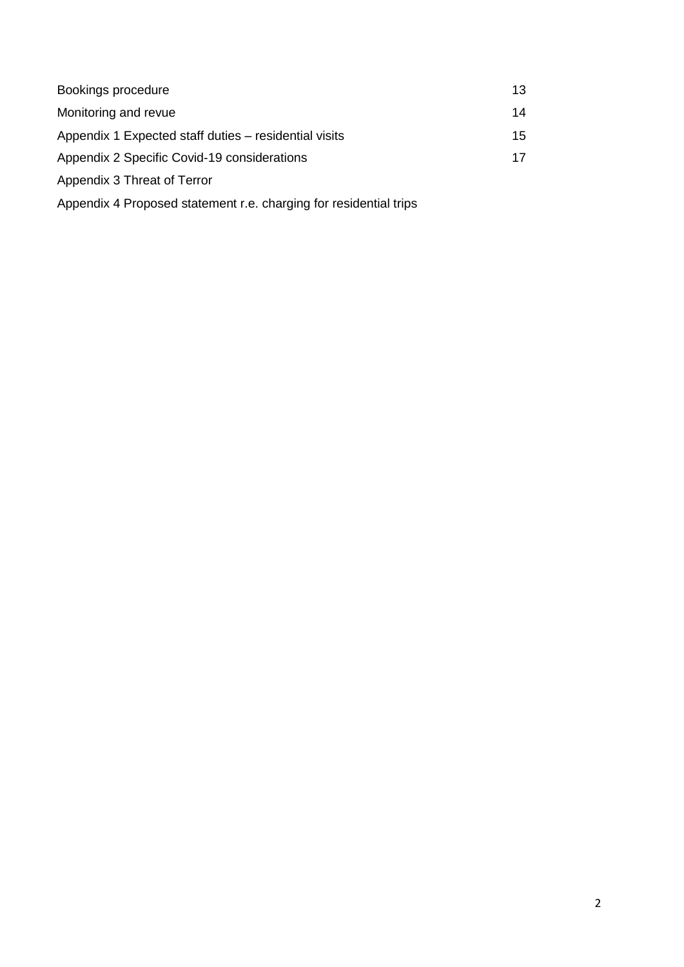| Bookings procedure                                                | 13 |
|-------------------------------------------------------------------|----|
| Monitoring and revue                                              | 14 |
| Appendix 1 Expected staff duties – residential visits             | 15 |
| Appendix 2 Specific Covid-19 considerations                       | 17 |
| Appendix 3 Threat of Terror                                       |    |
| Appendix 4 Proposed statement r.e. charging for residential trips |    |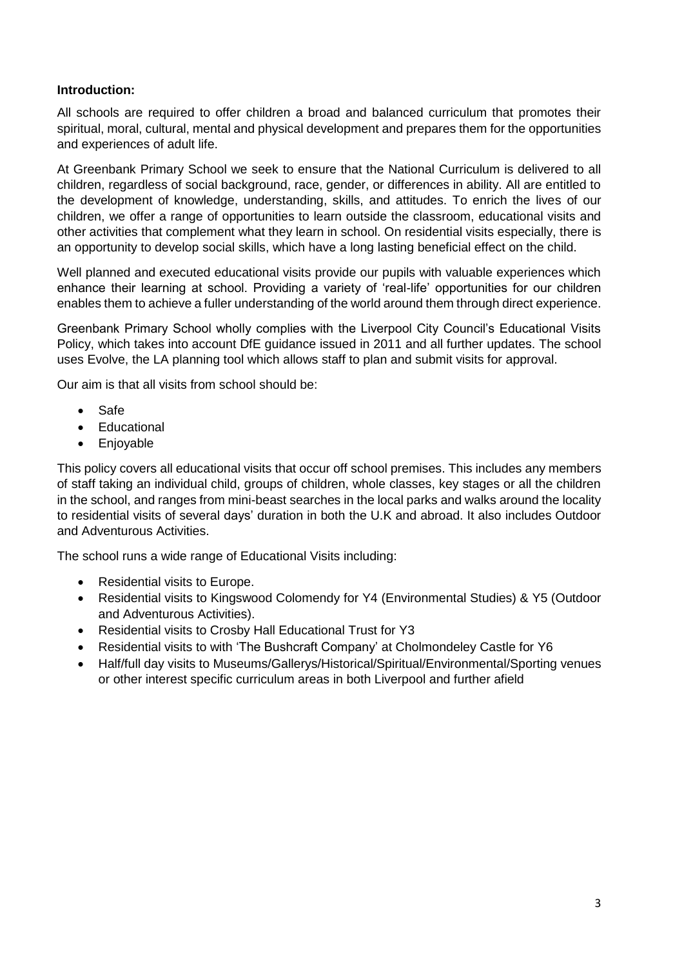## **Introduction:**

All schools are required to offer children a broad and balanced curriculum that promotes their spiritual, moral, cultural, mental and physical development and prepares them for the opportunities and experiences of adult life.

At Greenbank Primary School we seek to ensure that the National Curriculum is delivered to all children, regardless of social background, race, gender, or differences in ability. All are entitled to the development of knowledge, understanding, skills, and attitudes. To enrich the lives of our children, we offer a range of opportunities to learn outside the classroom, educational visits and other activities that complement what they learn in school. On residential visits especially, there is an opportunity to develop social skills, which have a long lasting beneficial effect on the child.

Well planned and executed educational visits provide our pupils with valuable experiences which enhance their learning at school. Providing a variety of 'real-life' opportunities for our children enables them to achieve a fuller understanding of the world around them through direct experience.

Greenbank Primary School wholly complies with the Liverpool City Council's Educational Visits Policy, which takes into account DfE guidance issued in 2011 and all further updates. The school uses Evolve, the LA planning tool which allows staff to plan and submit visits for approval.

Our aim is that all visits from school should be:

- Safe
- Educational
- Enjoyable

This policy covers all educational visits that occur off school premises. This includes any members of staff taking an individual child, groups of children, whole classes, key stages or all the children in the school, and ranges from mini-beast searches in the local parks and walks around the locality to residential visits of several days' duration in both the U.K and abroad. It also includes Outdoor and Adventurous Activities.

The school runs a wide range of Educational Visits including:

- Residential visits to Europe.
- Residential visits to Kingswood Colomendy for Y4 (Environmental Studies) & Y5 (Outdoor and Adventurous Activities).
- Residential visits to Crosby Hall Educational Trust for Y3
- Residential visits to with 'The Bushcraft Company' at Cholmondeley Castle for Y6
- Half/full day visits to Museums/Gallerys/Historical/Spiritual/Environmental/Sporting venues or other interest specific curriculum areas in both Liverpool and further afield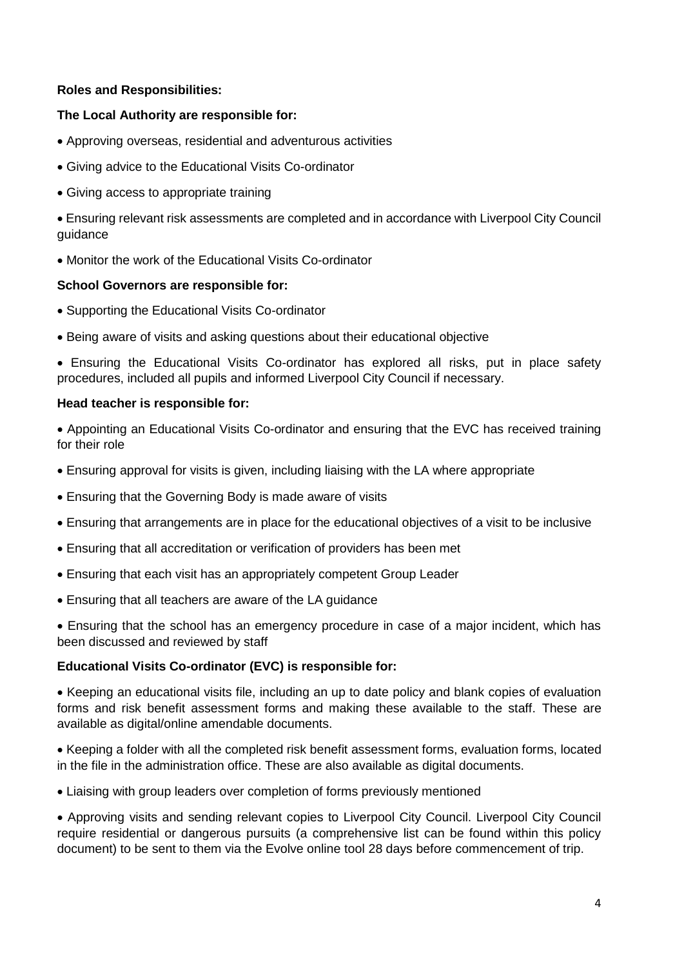## **Roles and Responsibilities:**

# **The Local Authority are responsible for:**

- Approving overseas, residential and adventurous activities
- Giving advice to the Educational Visits Co-ordinator
- Giving access to appropriate training

• Ensuring relevant risk assessments are completed and in accordance with Liverpool City Council guidance

• Monitor the work of the Educational Visits Co-ordinator

# **School Governors are responsible for:**

- Supporting the Educational Visits Co-ordinator
- Being aware of visits and asking questions about their educational objective

• Ensuring the Educational Visits Co-ordinator has explored all risks, put in place safety procedures, included all pupils and informed Liverpool City Council if necessary.

# **Head teacher is responsible for:**

• Appointing an Educational Visits Co-ordinator and ensuring that the EVC has received training for their role

- Ensuring approval for visits is given, including liaising with the LA where appropriate
- Ensuring that the Governing Body is made aware of visits
- Ensuring that arrangements are in place for the educational objectives of a visit to be inclusive
- Ensuring that all accreditation or verification of providers has been met
- Ensuring that each visit has an appropriately competent Group Leader
- Ensuring that all teachers are aware of the LA guidance

• Ensuring that the school has an emergency procedure in case of a major incident, which has been discussed and reviewed by staff

# **Educational Visits Co-ordinator (EVC) is responsible for:**

• Keeping an educational visits file, including an up to date policy and blank copies of evaluation forms and risk benefit assessment forms and making these available to the staff. These are available as digital/online amendable documents.

• Keeping a folder with all the completed risk benefit assessment forms, evaluation forms, located in the file in the administration office. These are also available as digital documents.

• Liaising with group leaders over completion of forms previously mentioned

• Approving visits and sending relevant copies to Liverpool City Council. Liverpool City Council require residential or dangerous pursuits (a comprehensive list can be found within this policy document) to be sent to them via the Evolve online tool 28 days before commencement of trip.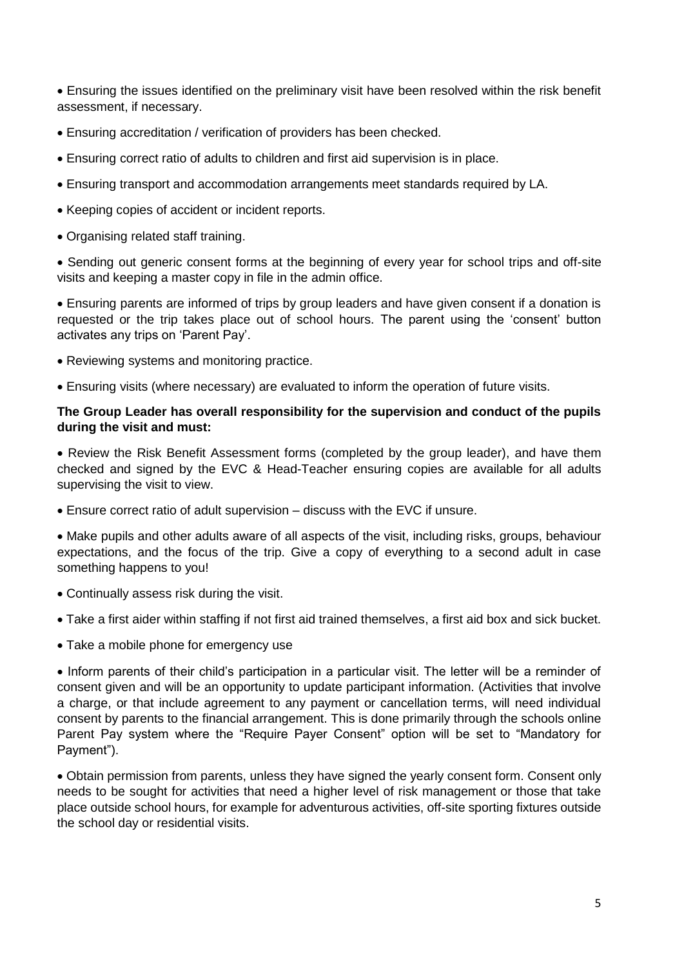• Ensuring the issues identified on the preliminary visit have been resolved within the risk benefit assessment, if necessary.

- Ensuring accreditation / verification of providers has been checked.
- Ensuring correct ratio of adults to children and first aid supervision is in place.
- Ensuring transport and accommodation arrangements meet standards required by LA.
- Keeping copies of accident or incident reports.
- Organising related staff training.

• Sending out generic consent forms at the beginning of every year for school trips and off-site visits and keeping a master copy in file in the admin office.

• Ensuring parents are informed of trips by group leaders and have given consent if a donation is requested or the trip takes place out of school hours. The parent using the 'consent' button activates any trips on 'Parent Pay'.

- Reviewing systems and monitoring practice.
- Ensuring visits (where necessary) are evaluated to inform the operation of future visits.

#### **The Group Leader has overall responsibility for the supervision and conduct of the pupils during the visit and must:**

• Review the Risk Benefit Assessment forms (completed by the group leader), and have them checked and signed by the EVC & Head-Teacher ensuring copies are available for all adults supervising the visit to view.

• Ensure correct ratio of adult supervision – discuss with the EVC if unsure.

• Make pupils and other adults aware of all aspects of the visit, including risks, groups, behaviour expectations, and the focus of the trip. Give a copy of everything to a second adult in case something happens to you!

- Continually assess risk during the visit.
- Take a first aider within staffing if not first aid trained themselves, a first aid box and sick bucket.
- Take a mobile phone for emergency use

• Inform parents of their child's participation in a particular visit. The letter will be a reminder of consent given and will be an opportunity to update participant information. (Activities that involve a charge, or that include agreement to any payment or cancellation terms, will need individual consent by parents to the financial arrangement. This is done primarily through the schools online Parent Pay system where the "Require Payer Consent" option will be set to "Mandatory for Payment").

• Obtain permission from parents, unless they have signed the yearly consent form. Consent only needs to be sought for activities that need a higher level of risk management or those that take place outside school hours, for example for adventurous activities, off-site sporting fixtures outside the school day or residential visits.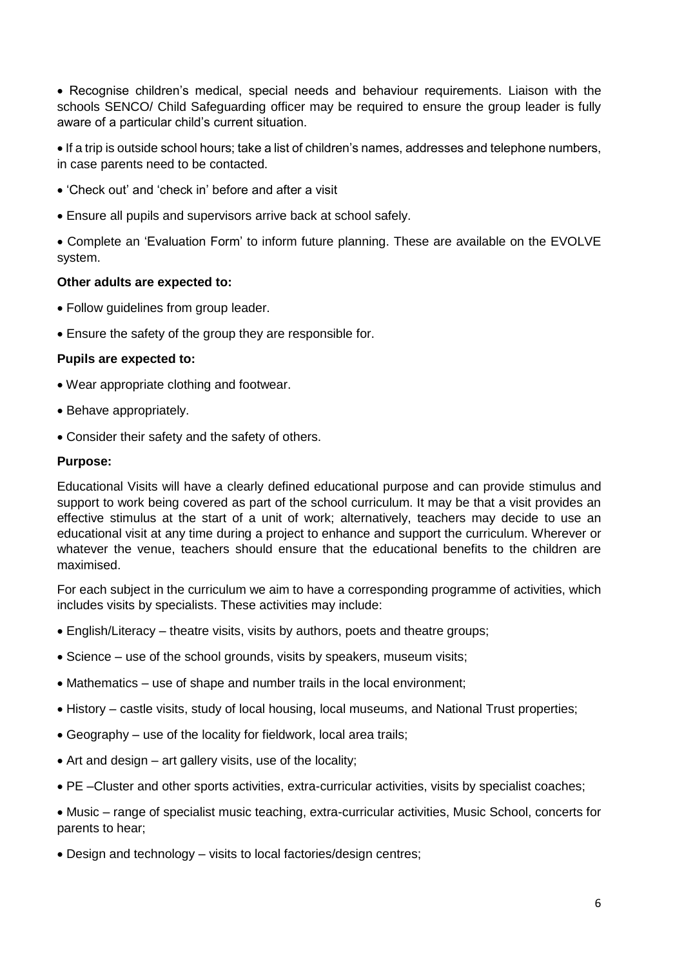• Recognise children's medical, special needs and behaviour requirements. Liaison with the schools SENCO/ Child Safeguarding officer may be required to ensure the group leader is fully aware of a particular child's current situation.

• If a trip is outside school hours; take a list of children's names, addresses and telephone numbers, in case parents need to be contacted.

- 'Check out' and 'check in' before and after a visit
- Ensure all pupils and supervisors arrive back at school safely.

• Complete an 'Evaluation Form' to inform future planning. These are available on the EVOLVE system.

#### **Other adults are expected to:**

- Follow guidelines from group leader.
- Ensure the safety of the group they are responsible for.

#### **Pupils are expected to:**

- Wear appropriate clothing and footwear.
- Behave appropriately.
- Consider their safety and the safety of others.

#### **Purpose:**

Educational Visits will have a clearly defined educational purpose and can provide stimulus and support to work being covered as part of the school curriculum. It may be that a visit provides an effective stimulus at the start of a unit of work; alternatively, teachers may decide to use an educational visit at any time during a project to enhance and support the curriculum. Wherever or whatever the venue, teachers should ensure that the educational benefits to the children are maximised.

For each subject in the curriculum we aim to have a corresponding programme of activities, which includes visits by specialists. These activities may include:

- English/Literacy theatre visits, visits by authors, poets and theatre groups;
- Science use of the school grounds, visits by speakers, museum visits;
- Mathematics use of shape and number trails in the local environment;
- History castle visits, study of local housing, local museums, and National Trust properties;
- Geography use of the locality for fieldwork, local area trails;
- Art and design art gallery visits, use of the locality:
- PE –Cluster and other sports activities, extra-curricular activities, visits by specialist coaches;

• Music – range of specialist music teaching, extra-curricular activities, Music School, concerts for parents to hear;

• Design and technology – visits to local factories/design centres;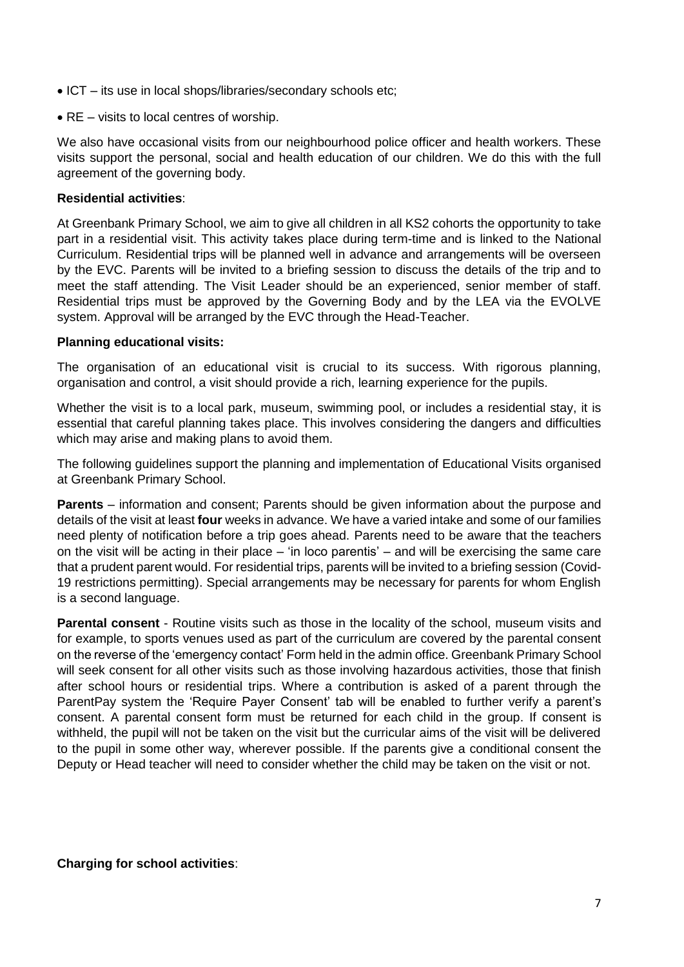- ICT its use in local shops/libraries/secondary schools etc;
- RE visits to local centres of worship.

We also have occasional visits from our neighbourhood police officer and health workers. These visits support the personal, social and health education of our children. We do this with the full agreement of the governing body.

## **Residential activities**:

At Greenbank Primary School, we aim to give all children in all KS2 cohorts the opportunity to take part in a residential visit. This activity takes place during term-time and is linked to the National Curriculum. Residential trips will be planned well in advance and arrangements will be overseen by the EVC. Parents will be invited to a briefing session to discuss the details of the trip and to meet the staff attending. The Visit Leader should be an experienced, senior member of staff. Residential trips must be approved by the Governing Body and by the LEA via the EVOLVE system. Approval will be arranged by the EVC through the Head-Teacher.

#### **Planning educational visits:**

The organisation of an educational visit is crucial to its success. With rigorous planning, organisation and control, a visit should provide a rich, learning experience for the pupils.

Whether the visit is to a local park, museum, swimming pool, or includes a residential stay, it is essential that careful planning takes place. This involves considering the dangers and difficulties which may arise and making plans to avoid them.

The following guidelines support the planning and implementation of Educational Visits organised at Greenbank Primary School.

**Parents** – information and consent; Parents should be given information about the purpose and details of the visit at least **four** weeks in advance. We have a varied intake and some of our families need plenty of notification before a trip goes ahead. Parents need to be aware that the teachers on the visit will be acting in their place – 'in loco parentis' – and will be exercising the same care that a prudent parent would. For residential trips, parents will be invited to a briefing session (Covid-19 restrictions permitting). Special arrangements may be necessary for parents for whom English is a second language.

**Parental consent** - Routine visits such as those in the locality of the school, museum visits and for example, to sports venues used as part of the curriculum are covered by the parental consent on the reverse of the 'emergency contact' Form held in the admin office. Greenbank Primary School will seek consent for all other visits such as those involving hazardous activities, those that finish after school hours or residential trips. Where a contribution is asked of a parent through the ParentPay system the 'Require Payer Consent' tab will be enabled to further verify a parent's consent. A parental consent form must be returned for each child in the group. If consent is withheld, the pupil will not be taken on the visit but the curricular aims of the visit will be delivered to the pupil in some other way, wherever possible. If the parents give a conditional consent the Deputy or Head teacher will need to consider whether the child may be taken on the visit or not.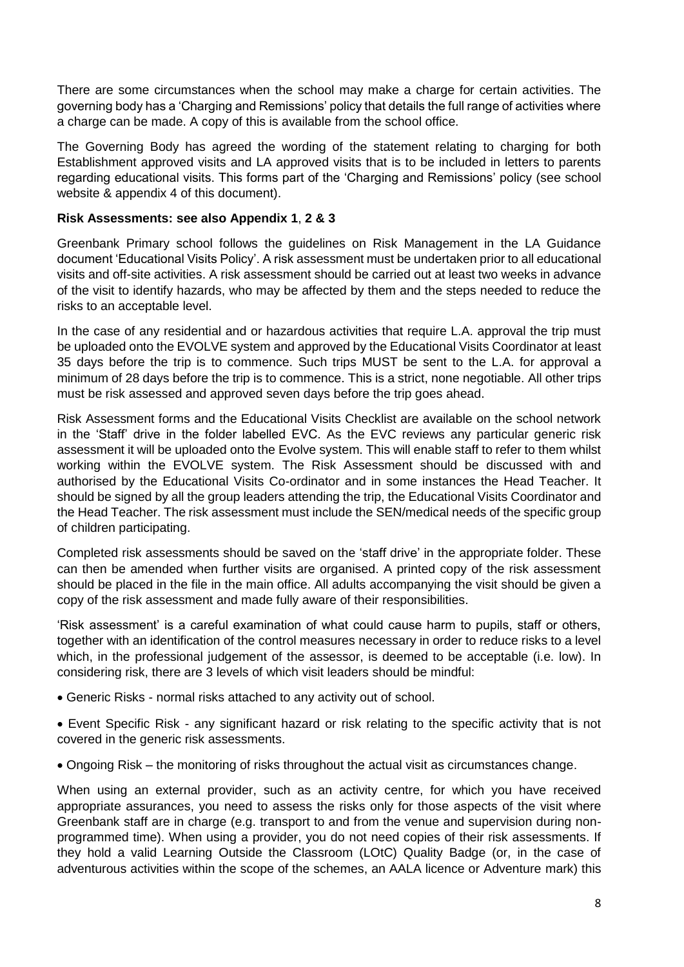There are some circumstances when the school may make a charge for certain activities. The governing body has a 'Charging and Remissions' policy that details the full range of activities where a charge can be made. A copy of this is available from the school office.

The Governing Body has agreed the wording of the statement relating to charging for both Establishment approved visits and LA approved visits that is to be included in letters to parents regarding educational visits. This forms part of the 'Charging and Remissions' policy (see school website & appendix 4 of this document).

## **Risk Assessments: see also Appendix 1**, **2 & 3**

Greenbank Primary school follows the guidelines on Risk Management in the LA Guidance document 'Educational Visits Policy'. A risk assessment must be undertaken prior to all educational visits and off-site activities. A risk assessment should be carried out at least two weeks in advance of the visit to identify hazards, who may be affected by them and the steps needed to reduce the risks to an acceptable level.

In the case of any residential and or hazardous activities that require L.A. approval the trip must be uploaded onto the EVOLVE system and approved by the Educational Visits Coordinator at least 35 days before the trip is to commence. Such trips MUST be sent to the L.A. for approval a minimum of 28 days before the trip is to commence. This is a strict, none negotiable. All other trips must be risk assessed and approved seven days before the trip goes ahead.

Risk Assessment forms and the Educational Visits Checklist are available on the school network in the 'Staff' drive in the folder labelled EVC. As the EVC reviews any particular generic risk assessment it will be uploaded onto the Evolve system. This will enable staff to refer to them whilst working within the EVOLVE system. The Risk Assessment should be discussed with and authorised by the Educational Visits Co-ordinator and in some instances the Head Teacher. It should be signed by all the group leaders attending the trip, the Educational Visits Coordinator and the Head Teacher. The risk assessment must include the SEN/medical needs of the specific group of children participating.

Completed risk assessments should be saved on the 'staff drive' in the appropriate folder. These can then be amended when further visits are organised. A printed copy of the risk assessment should be placed in the file in the main office. All adults accompanying the visit should be given a copy of the risk assessment and made fully aware of their responsibilities.

'Risk assessment' is a careful examination of what could cause harm to pupils, staff or others, together with an identification of the control measures necessary in order to reduce risks to a level which, in the professional judgement of the assessor, is deemed to be acceptable (i.e. low). In considering risk, there are 3 levels of which visit leaders should be mindful:

• Generic Risks - normal risks attached to any activity out of school.

• Event Specific Risk - any significant hazard or risk relating to the specific activity that is not covered in the generic risk assessments.

• Ongoing Risk – the monitoring of risks throughout the actual visit as circumstances change.

When using an external provider, such as an activity centre, for which you have received appropriate assurances, you need to assess the risks only for those aspects of the visit where Greenbank staff are in charge (e.g. transport to and from the venue and supervision during nonprogrammed time). When using a provider, you do not need copies of their risk assessments. If they hold a valid Learning Outside the Classroom (LOtC) Quality Badge (or, in the case of adventurous activities within the scope of the schemes, an AALA licence or Adventure mark) this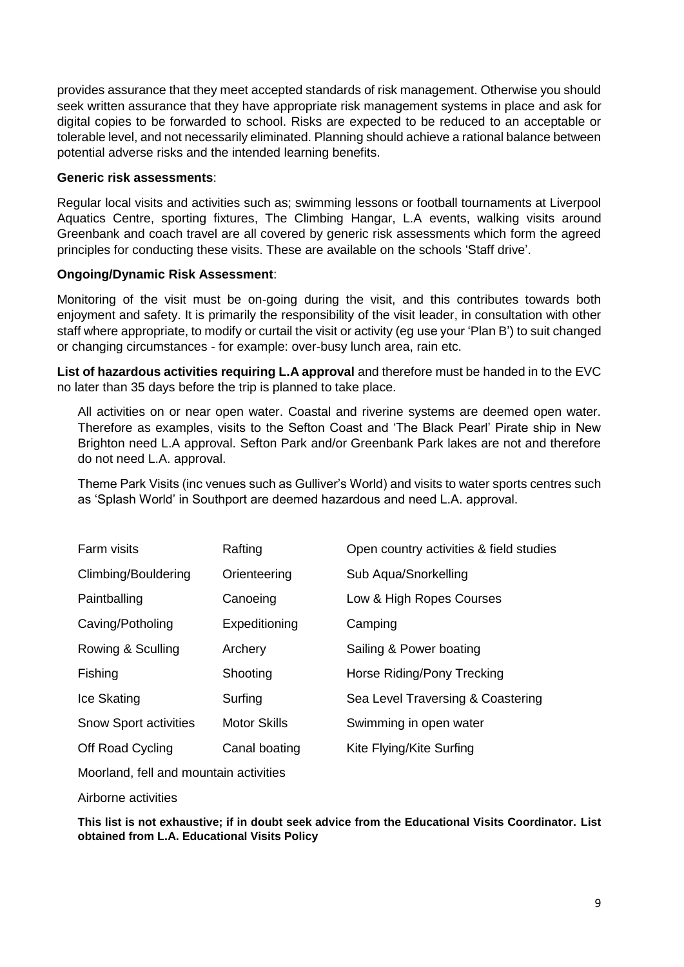provides assurance that they meet accepted standards of risk management. Otherwise you should seek written assurance that they have appropriate risk management systems in place and ask for digital copies to be forwarded to school. Risks are expected to be reduced to an acceptable or tolerable level, and not necessarily eliminated. Planning should achieve a rational balance between potential adverse risks and the intended learning benefits.

#### **Generic risk assessments**:

Regular local visits and activities such as; swimming lessons or football tournaments at Liverpool Aquatics Centre, sporting fixtures, The Climbing Hangar, L.A events, walking visits around Greenbank and coach travel are all covered by generic risk assessments which form the agreed principles for conducting these visits. These are available on the schools 'Staff drive'.

## **Ongoing/Dynamic Risk Assessment**:

Monitoring of the visit must be on-going during the visit, and this contributes towards both enjoyment and safety. It is primarily the responsibility of the visit leader, in consultation with other staff where appropriate, to modify or curtail the visit or activity (eg use your 'Plan B') to suit changed or changing circumstances - for example: over-busy lunch area, rain etc.

**List of hazardous activities requiring L.A approval** and therefore must be handed in to the EVC no later than 35 days before the trip is planned to take place.

All activities on or near open water. Coastal and riverine systems are deemed open water. Therefore as examples, visits to the Sefton Coast and 'The Black Pearl' Pirate ship in New Brighton need L.A approval. Sefton Park and/or Greenbank Park lakes are not and therefore do not need L.A. approval.

Theme Park Visits (inc venues such as Gulliver's World) and visits to water sports centres such as 'Splash World' in Southport are deemed hazardous and need L.A. approval.

| Farm visits                  | Rafting             | Open country activities & field studies |
|------------------------------|---------------------|-----------------------------------------|
| Climbing/Bouldering          | Orienteering        | Sub Aqua/Snorkelling                    |
| Paintballing                 | Canoeing            | Low & High Ropes Courses                |
| Caving/Potholing             | Expeditioning       | Camping                                 |
| Rowing & Sculling            | Archery             | Sailing & Power boating                 |
| Fishing                      | Shooting            | Horse Riding/Pony Trecking              |
| Ice Skating                  | Surfing             | Sea Level Traversing & Coastering       |
| <b>Snow Sport activities</b> | <b>Motor Skills</b> | Swimming in open water                  |
| Off Road Cycling             | Canal boating       | Kite Flying/Kite Surfing                |

Moorland, fell and mountain activities

Airborne activities

**This list is not exhaustive; if in doubt seek advice from the Educational Visits Coordinator. List obtained from L.A. Educational Visits Policy**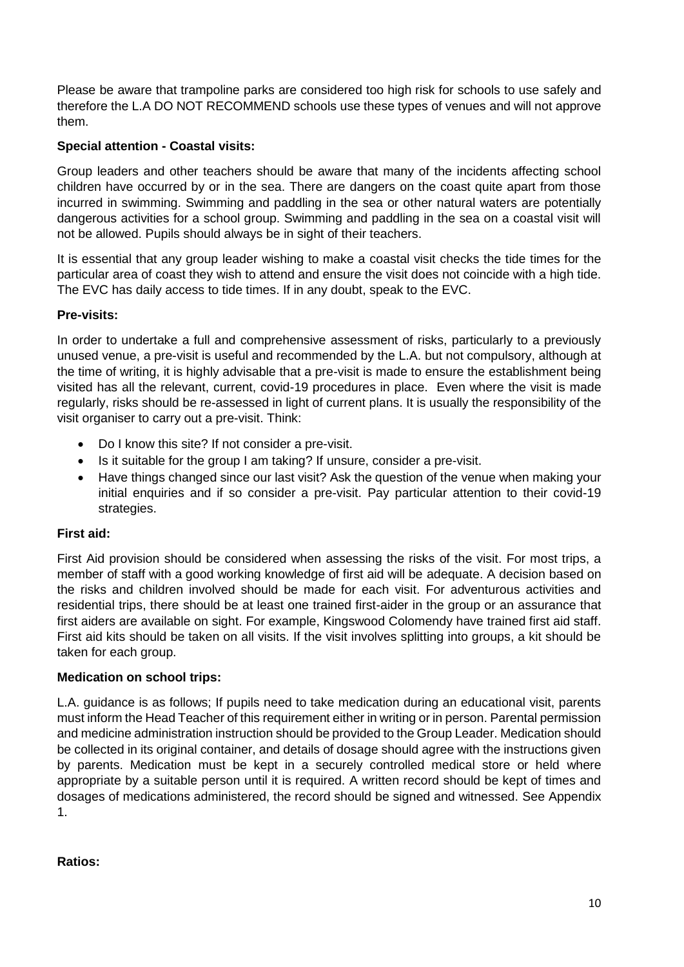Please be aware that trampoline parks are considered too high risk for schools to use safely and therefore the L.A DO NOT RECOMMEND schools use these types of venues and will not approve them.

## **Special attention - Coastal visits:**

Group leaders and other teachers should be aware that many of the incidents affecting school children have occurred by or in the sea. There are dangers on the coast quite apart from those incurred in swimming. Swimming and paddling in the sea or other natural waters are potentially dangerous activities for a school group. Swimming and paddling in the sea on a coastal visit will not be allowed. Pupils should always be in sight of their teachers.

It is essential that any group leader wishing to make a coastal visit checks the tide times for the particular area of coast they wish to attend and ensure the visit does not coincide with a high tide. The EVC has daily access to tide times. If in any doubt, speak to the EVC.

## **Pre-visits:**

In order to undertake a full and comprehensive assessment of risks, particularly to a previously unused venue, a pre-visit is useful and recommended by the L.A. but not compulsory, although at the time of writing, it is highly advisable that a pre-visit is made to ensure the establishment being visited has all the relevant, current, covid-19 procedures in place. Even where the visit is made regularly, risks should be re-assessed in light of current plans. It is usually the responsibility of the visit organiser to carry out a pre-visit. Think:

- Do I know this site? If not consider a pre-visit.
- Is it suitable for the group I am taking? If unsure, consider a pre-visit.
- Have things changed since our last visit? Ask the question of the venue when making your initial enquiries and if so consider a pre-visit. Pay particular attention to their covid-19 strategies.

## **First aid:**

First Aid provision should be considered when assessing the risks of the visit. For most trips, a member of staff with a good working knowledge of first aid will be adequate. A decision based on the risks and children involved should be made for each visit. For adventurous activities and residential trips, there should be at least one trained first-aider in the group or an assurance that first aiders are available on sight. For example, Kingswood Colomendy have trained first aid staff. First aid kits should be taken on all visits. If the visit involves splitting into groups, a kit should be taken for each group.

## **Medication on school trips:**

L.A. guidance is as follows; If pupils need to take medication during an educational visit, parents must inform the Head Teacher of this requirement either in writing or in person. Parental permission and medicine administration instruction should be provided to the Group Leader. Medication should be collected in its original container, and details of dosage should agree with the instructions given by parents. Medication must be kept in a securely controlled medical store or held where appropriate by a suitable person until it is required. A written record should be kept of times and dosages of medications administered, the record should be signed and witnessed. See Appendix 1.

## **Ratios:**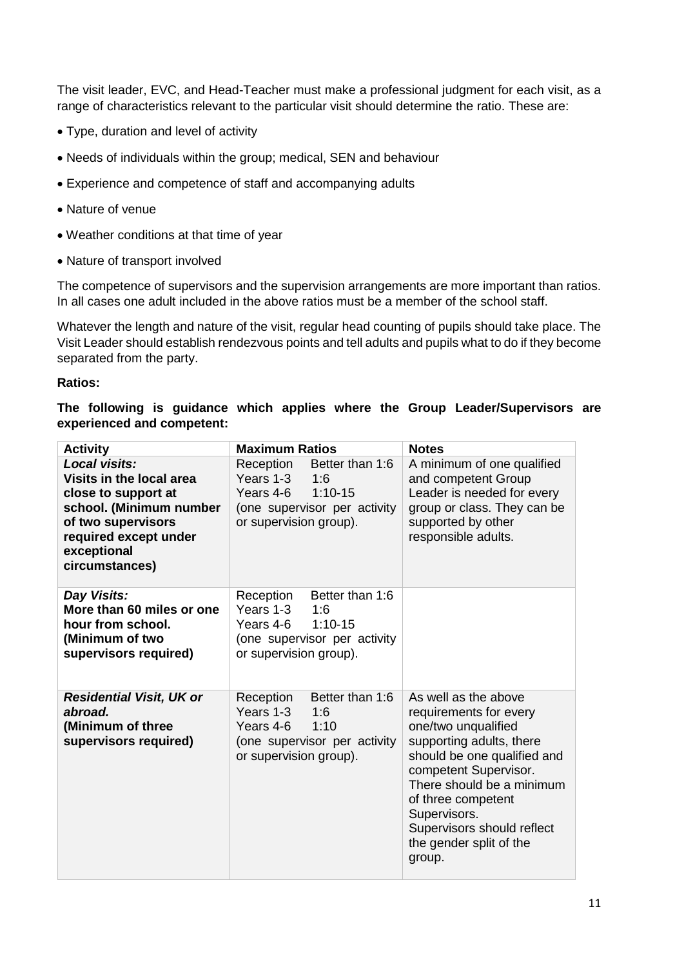The visit leader, EVC, and Head-Teacher must make a professional judgment for each visit, as a range of characteristics relevant to the particular visit should determine the ratio. These are:

- Type, duration and level of activity
- Needs of individuals within the group; medical, SEN and behaviour
- Experience and competence of staff and accompanying adults
- Nature of venue
- Weather conditions at that time of year
- Nature of transport involved

The competence of supervisors and the supervision arrangements are more important than ratios. In all cases one adult included in the above ratios must be a member of the school staff.

Whatever the length and nature of the visit, regular head counting of pupils should take place. The Visit Leader should establish rendezvous points and tell adults and pupils what to do if they become separated from the party.

#### **Ratios:**

#### **The following is guidance which applies where the Group Leader/Supervisors are experienced and competent:**

| <b>Activity</b>                                                                                                                                                             | <b>Maximum Ratios</b>                                                                                                                | <b>Notes</b>                                                                                                                                                                                                                                                                                    |  |  |
|-----------------------------------------------------------------------------------------------------------------------------------------------------------------------------|--------------------------------------------------------------------------------------------------------------------------------------|-------------------------------------------------------------------------------------------------------------------------------------------------------------------------------------------------------------------------------------------------------------------------------------------------|--|--|
| Local visits:<br>Visits in the local area<br>close to support at<br>school. (Minimum number<br>of two supervisors<br>required except under<br>exceptional<br>circumstances) | Reception<br>Better than 1:6<br>Years 1-3<br>1:6<br>Years 4-6<br>$1:10-15$<br>(one supervisor per activity<br>or supervision group). | A minimum of one qualified<br>and competent Group<br>Leader is needed for every<br>group or class. They can be<br>supported by other<br>responsible adults.                                                                                                                                     |  |  |
| Day Visits:<br>More than 60 miles or one<br>hour from school.<br>(Minimum of two<br>supervisors required)                                                                   | Better than 1:6<br>Reception<br>Years 1-3<br>1:6<br>$1:10-15$<br>Years 4-6<br>(one supervisor per activity<br>or supervision group). |                                                                                                                                                                                                                                                                                                 |  |  |
| <b>Residential Visit, UK or</b><br>abroad.<br>(Minimum of three<br>supervisors required)                                                                                    | Better than 1:6<br>Reception<br>Years 1-3<br>1:6<br>1:10<br>Years 4-6<br>(one supervisor per activity<br>or supervision group).      | As well as the above<br>requirements for every<br>one/two unqualified<br>supporting adults, there<br>should be one qualified and<br>competent Supervisor.<br>There should be a minimum<br>of three competent<br>Supervisors.<br>Supervisors should reflect<br>the gender split of the<br>group. |  |  |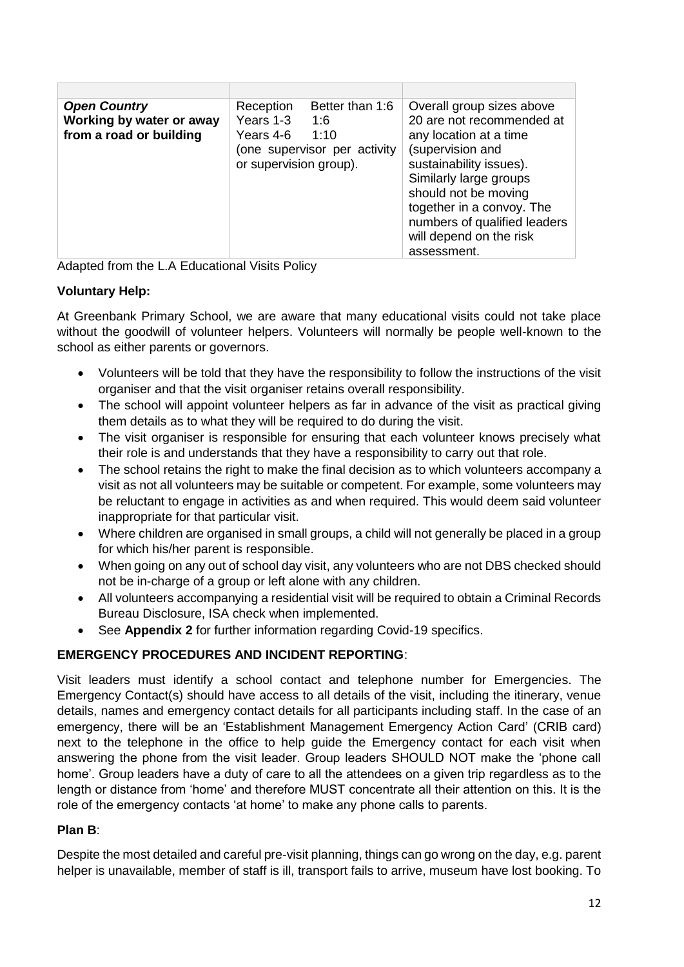| <b>Open Country</b><br>Working by water or away<br>from a road or building | Reception<br>Years 1-3<br>Years 4-6 1:10<br>or supervision group). | Better than 1:6<br>1:6<br>(one supervisor per activity | Overall group sizes above<br>20 are not recommended at<br>any location at a time<br>(supervision and<br>sustainability issues).<br>Similarly large groups<br>should not be moving<br>together in a convoy. The<br>numbers of qualified leaders<br>will depend on the risk<br>assessment. |
|----------------------------------------------------------------------------|--------------------------------------------------------------------|--------------------------------------------------------|------------------------------------------------------------------------------------------------------------------------------------------------------------------------------------------------------------------------------------------------------------------------------------------|

Adapted from the L.A Educational Visits Policy

## **Voluntary Help:**

At Greenbank Primary School, we are aware that many educational visits could not take place without the goodwill of volunteer helpers. Volunteers will normally be people well-known to the school as either parents or governors.

- Volunteers will be told that they have the responsibility to follow the instructions of the visit organiser and that the visit organiser retains overall responsibility.
- The school will appoint volunteer helpers as far in advance of the visit as practical giving them details as to what they will be required to do during the visit.
- The visit organiser is responsible for ensuring that each volunteer knows precisely what their role is and understands that they have a responsibility to carry out that role.
- The school retains the right to make the final decision as to which volunteers accompany a visit as not all volunteers may be suitable or competent. For example, some volunteers may be reluctant to engage in activities as and when required. This would deem said volunteer inappropriate for that particular visit.
- Where children are organised in small groups, a child will not generally be placed in a group for which his/her parent is responsible.
- When going on any out of school day visit, any volunteers who are not DBS checked should not be in-charge of a group or left alone with any children.
- All volunteers accompanying a residential visit will be required to obtain a Criminal Records Bureau Disclosure, ISA check when implemented.
- See **Appendix 2** for further information regarding Covid-19 specifics.

## **EMERGENCY PROCEDURES AND INCIDENT REPORTING**:

Visit leaders must identify a school contact and telephone number for Emergencies. The Emergency Contact(s) should have access to all details of the visit, including the itinerary, venue details, names and emergency contact details for all participants including staff. In the case of an emergency, there will be an 'Establishment Management Emergency Action Card' (CRIB card) next to the telephone in the office to help guide the Emergency contact for each visit when answering the phone from the visit leader. Group leaders SHOULD NOT make the 'phone call home'. Group leaders have a duty of care to all the attendees on a given trip regardless as to the length or distance from 'home' and therefore MUST concentrate all their attention on this. It is the role of the emergency contacts 'at home' to make any phone calls to parents.

## **Plan B**:

Despite the most detailed and careful pre-visit planning, things can go wrong on the day, e.g. parent helper is unavailable, member of staff is ill, transport fails to arrive, museum have lost booking. To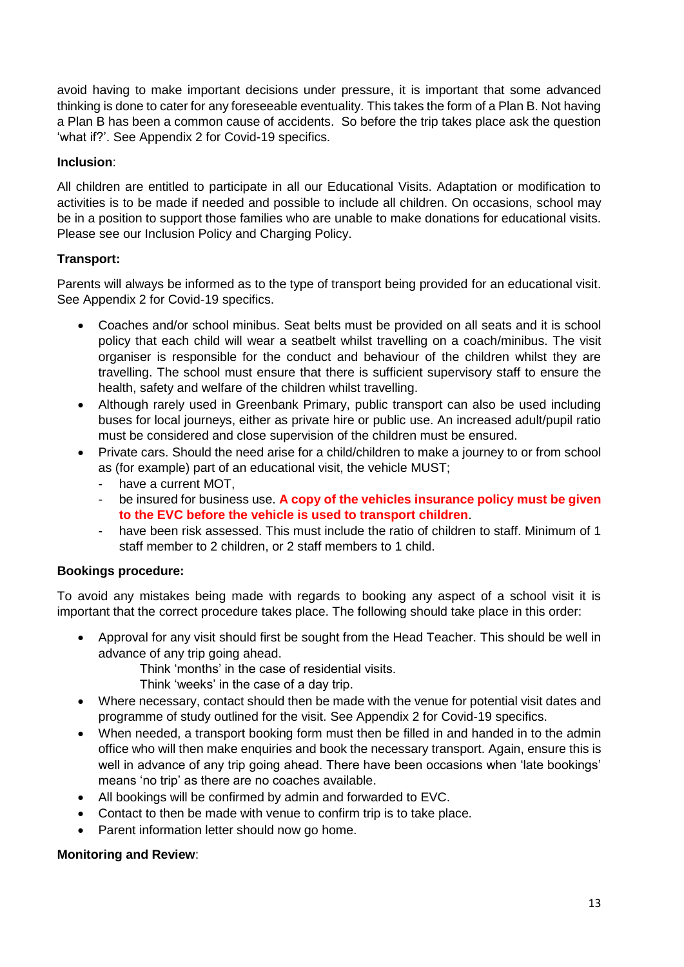avoid having to make important decisions under pressure, it is important that some advanced thinking is done to cater for any foreseeable eventuality. This takes the form of a Plan B. Not having a Plan B has been a common cause of accidents. So before the trip takes place ask the question 'what if?'. See Appendix 2 for Covid-19 specifics.

## **Inclusion**:

All children are entitled to participate in all our Educational Visits. Adaptation or modification to activities is to be made if needed and possible to include all children. On occasions, school may be in a position to support those families who are unable to make donations for educational visits. Please see our Inclusion Policy and Charging Policy.

## **Transport:**

Parents will always be informed as to the type of transport being provided for an educational visit. See Appendix 2 for Covid-19 specifics.

- Coaches and/or school minibus. Seat belts must be provided on all seats and it is school policy that each child will wear a seatbelt whilst travelling on a coach/minibus. The visit organiser is responsible for the conduct and behaviour of the children whilst they are travelling. The school must ensure that there is sufficient supervisory staff to ensure the health, safety and welfare of the children whilst travelling.
- Although rarely used in Greenbank Primary, public transport can also be used including buses for local journeys, either as private hire or public use. An increased adult/pupil ratio must be considered and close supervision of the children must be ensured.
- Private cars. Should the need arise for a child/children to make a journey to or from school as (for example) part of an educational visit, the vehicle MUST;
	- have a current MOT,
	- be insured for business use. **A copy of the vehicles insurance policy must be given to the EVC before the vehicle is used to transport children**.
	- have been risk assessed. This must include the ratio of children to staff. Minimum of 1 staff member to 2 children, or 2 staff members to 1 child.

#### **Bookings procedure:**

To avoid any mistakes being made with regards to booking any aspect of a school visit it is important that the correct procedure takes place. The following should take place in this order:

• Approval for any visit should first be sought from the Head Teacher. This should be well in advance of any trip going ahead.

Think 'months' in the case of residential visits.

Think 'weeks' in the case of a day trip.

- Where necessary, contact should then be made with the venue for potential visit dates and programme of study outlined for the visit. See Appendix 2 for Covid-19 specifics.
- When needed, a transport booking form must then be filled in and handed in to the admin office who will then make enquiries and book the necessary transport. Again, ensure this is well in advance of any trip going ahead. There have been occasions when 'late bookings' means 'no trip' as there are no coaches available.
- All bookings will be confirmed by admin and forwarded to EVC.
- Contact to then be made with venue to confirm trip is to take place.
- Parent information letter should now go home.

#### **Monitoring and Review**: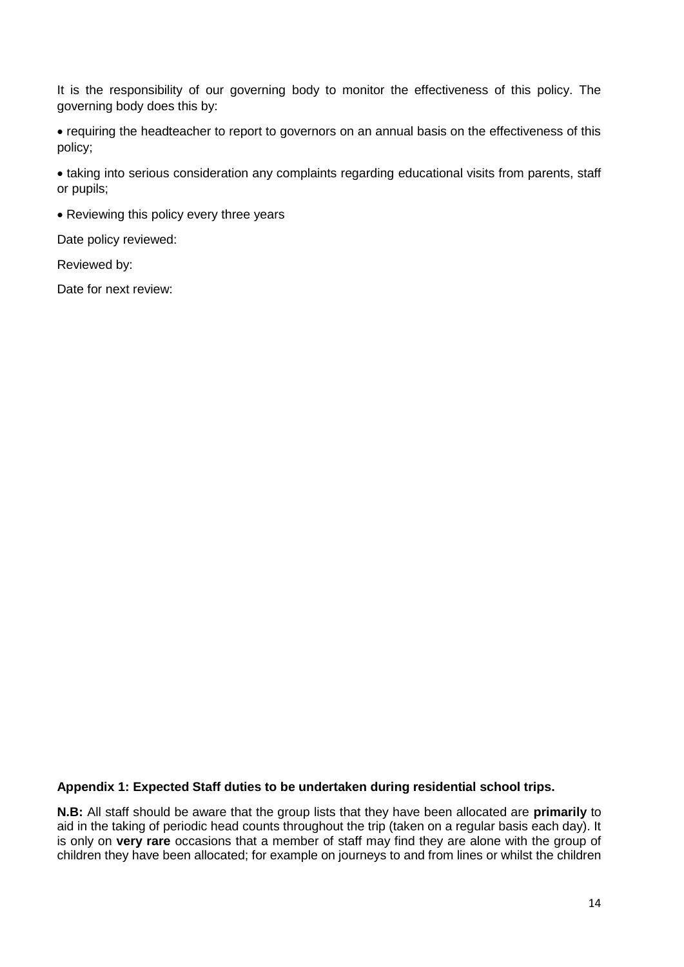It is the responsibility of our governing body to monitor the effectiveness of this policy. The governing body does this by:

• requiring the headteacher to report to governors on an annual basis on the effectiveness of this policy;

• taking into serious consideration any complaints regarding educational visits from parents, staff or pupils;

• Reviewing this policy every three years

Date policy reviewed:

Reviewed by:

Date for next review:

#### **Appendix 1: Expected Staff duties to be undertaken during residential school trips.**

**N.B:** All staff should be aware that the group lists that they have been allocated are **primarily** to aid in the taking of periodic head counts throughout the trip (taken on a regular basis each day). It is only on **very rare** occasions that a member of staff may find they are alone with the group of children they have been allocated; for example on journeys to and from lines or whilst the children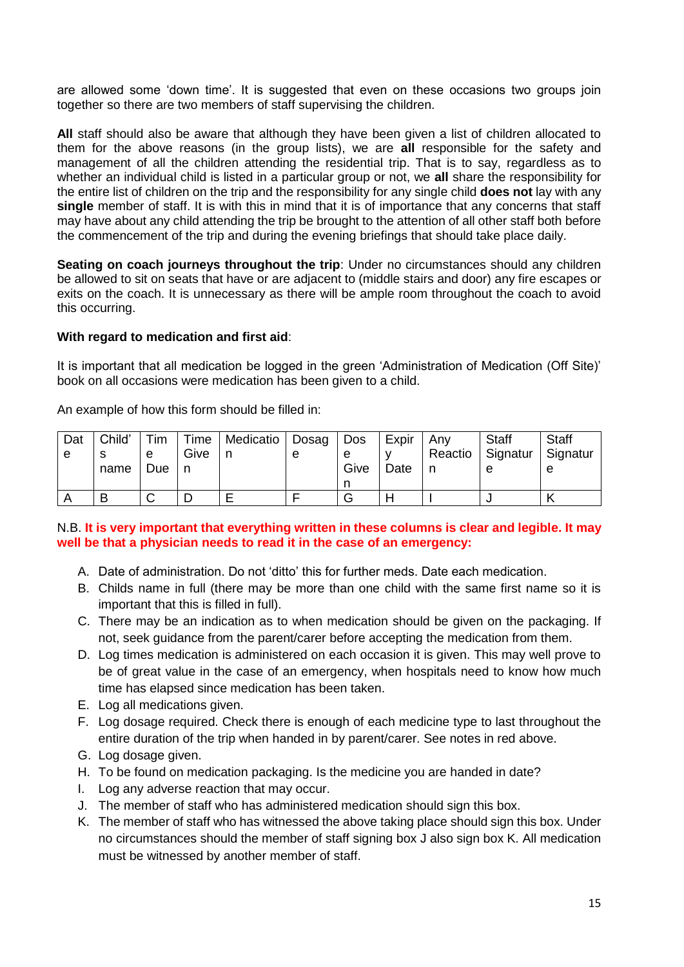are allowed some 'down time'. It is suggested that even on these occasions two groups join together so there are two members of staff supervising the children.

**All** staff should also be aware that although they have been given a list of children allocated to them for the above reasons (in the group lists), we are **all** responsible for the safety and management of all the children attending the residential trip. That is to say, regardless as to whether an individual child is listed in a particular group or not, we **all** share the responsibility for the entire list of children on the trip and the responsibility for any single child **does not** lay with any **single** member of staff. It is with this in mind that it is of importance that any concerns that staff may have about any child attending the trip be brought to the attention of all other staff both before the commencement of the trip and during the evening briefings that should take place daily.

**Seating on coach journeys throughout the trip:** Under no circumstances should any children be allowed to sit on seats that have or are adjacent to (middle stairs and door) any fire escapes or exits on the coach. It is unnecessary as there will be ample room throughout the coach to avoid this occurring.

#### **With regard to medication and first aid**:

It is important that all medication be logged in the green 'Administration of Medication (Off Site)' book on all occasions were medication has been given to a child.

An example of how this form should be filled in:

| Dat | Child' | Tim    |      | Time   Medicatio   Dosag   Dos |   |      | Expir | Anv     | <b>Staff</b>        | <b>Staff</b> |
|-----|--------|--------|------|--------------------------------|---|------|-------|---------|---------------------|--------------|
| e   |        | e      | Give |                                | e | e    |       | Reactio | Signatur   Signatur |              |
|     | name   | Due    |      |                                |   | Give | Date  |         |                     | e            |
|     |        |        |      |                                |   |      |       |         |                     |              |
|     | В      | ⌒<br>ັ |      |                                |   | G    |       |         |                     |              |

## N.B. **It is very important that everything written in these columns is clear and legible. It may well be that a physician needs to read it in the case of an emergency:**

- A. Date of administration. Do not 'ditto' this for further meds. Date each medication.
- B. Childs name in full (there may be more than one child with the same first name so it is important that this is filled in full).
- C. There may be an indication as to when medication should be given on the packaging. If not, seek guidance from the parent/carer before accepting the medication from them.
- D. Log times medication is administered on each occasion it is given. This may well prove to be of great value in the case of an emergency, when hospitals need to know how much time has elapsed since medication has been taken.
- E. Log all medications given.
- F. Log dosage required. Check there is enough of each medicine type to last throughout the entire duration of the trip when handed in by parent/carer. See notes in red above.
- G. Log dosage given.
- H. To be found on medication packaging. Is the medicine you are handed in date?
- I. Log any adverse reaction that may occur.
- J. The member of staff who has administered medication should sign this box.
- K. The member of staff who has witnessed the above taking place should sign this box. Under no circumstances should the member of staff signing box J also sign box K. All medication must be witnessed by another member of staff.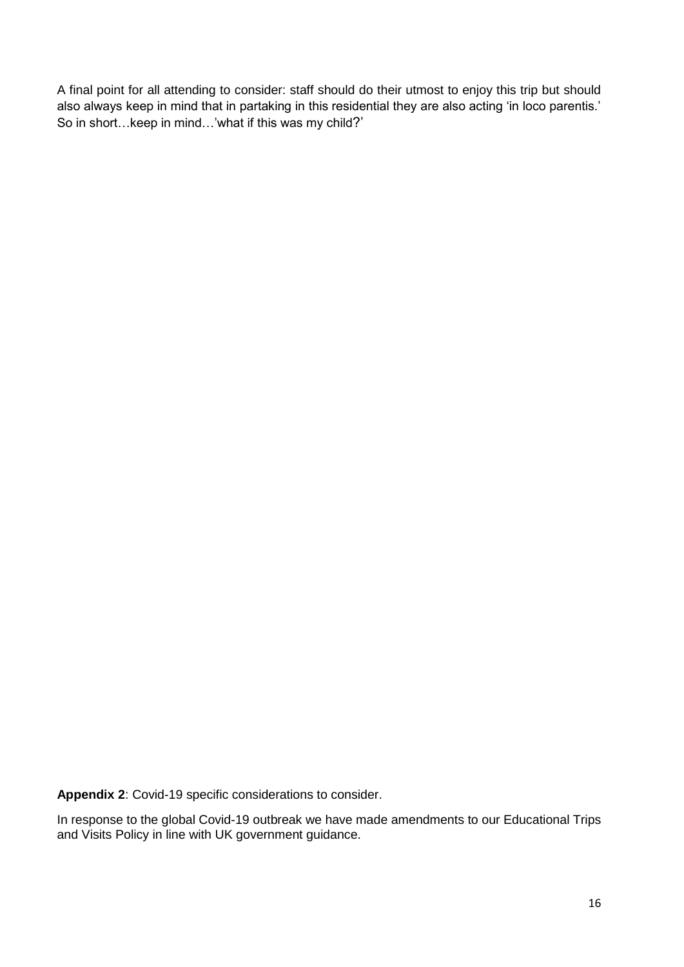A final point for all attending to consider: staff should do their utmost to enjoy this trip but should also always keep in mind that in partaking in this residential they are also acting 'in loco parentis.' So in short…keep in mind…'what if this was my child?'

**Appendix 2**: Covid-19 specific considerations to consider.

In response to the global Covid-19 outbreak we have made amendments to our Educational Trips and Visits Policy in line with UK government guidance.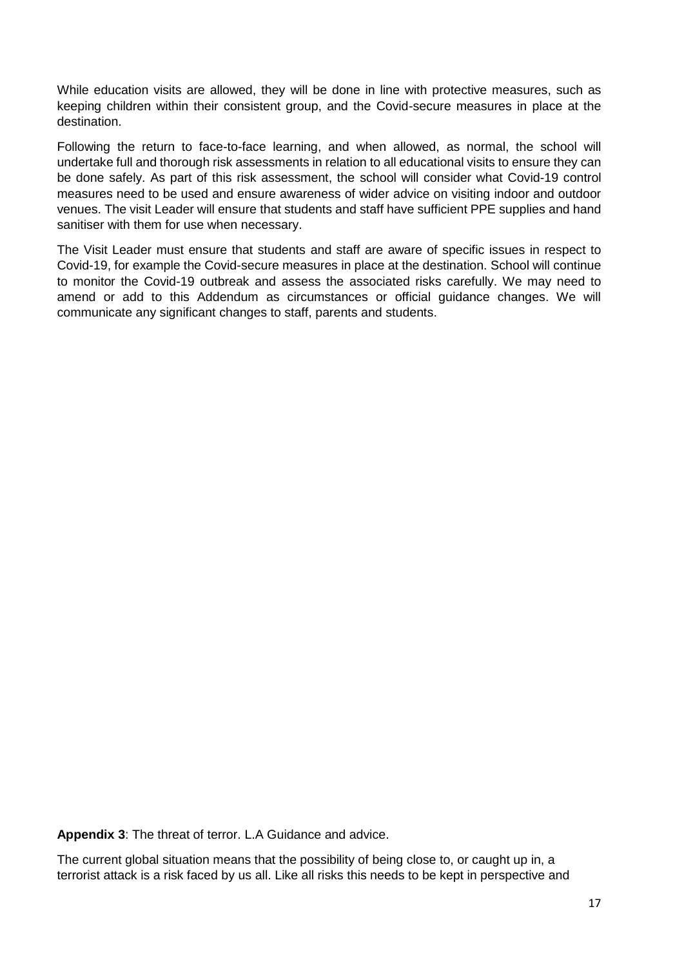While education visits are allowed, they will be done in line with protective measures, such as keeping children within their consistent group, and the Covid-secure measures in place at the destination.

Following the return to face-to-face learning, and when allowed, as normal, the school will undertake full and thorough risk assessments in relation to all educational visits to ensure they can be done safely. As part of this risk assessment, the school will consider what Covid-19 control measures need to be used and ensure awareness of wider advice on visiting indoor and outdoor venues. The visit Leader will ensure that students and staff have sufficient PPE supplies and hand sanitiser with them for use when necessary.

The Visit Leader must ensure that students and staff are aware of specific issues in respect to Covid-19, for example the Covid-secure measures in place at the destination. School will continue to monitor the Covid-19 outbreak and assess the associated risks carefully. We may need to amend or add to this Addendum as circumstances or official guidance changes. We will communicate any significant changes to staff, parents and students.

**Appendix 3**: The threat of terror. L.A Guidance and advice.

The current global situation means that the possibility of being close to, or caught up in, a terrorist attack is a risk faced by us all. Like all risks this needs to be kept in perspective and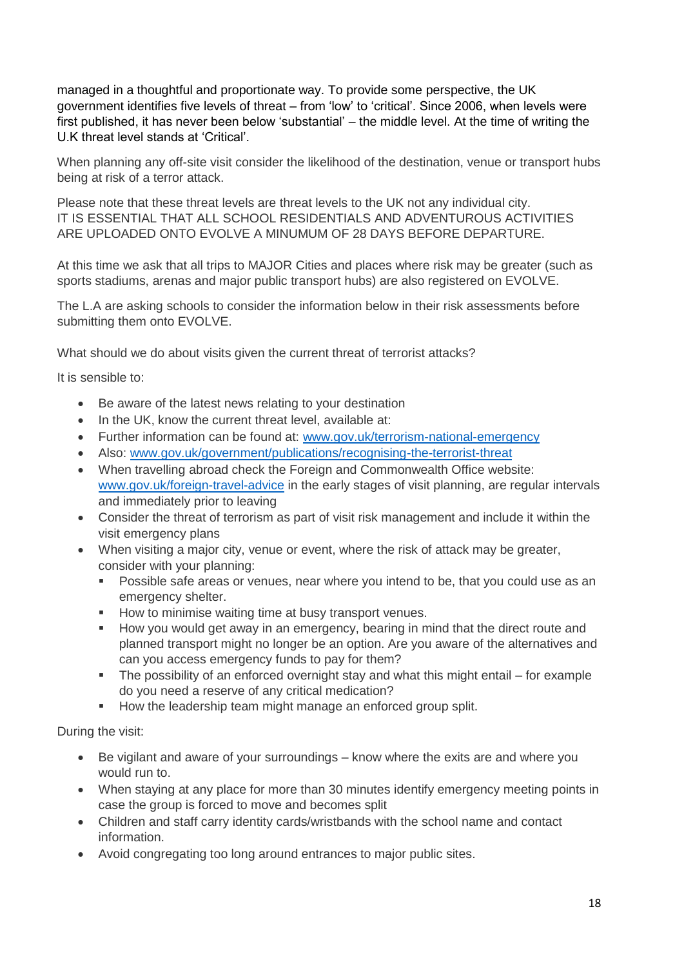managed in a thoughtful and proportionate way. To provide some perspective, the UK government identifies five levels of threat – from 'low' to 'critical'. Since 2006, when levels were first published, it has never been below 'substantial' – the middle level. At the time of writing the U.K threat level stands at 'Critical'.

When planning any off-site visit consider the likelihood of the destination, venue or transport hubs being at risk of a terror attack.

Please note that these threat levels are threat levels to the UK not any individual city. IT IS ESSENTIAL THAT ALL SCHOOL RESIDENTIALS AND ADVENTUROUS ACTIVITIES ARE UPLOADED ONTO EVOLVE A MINUMUM OF 28 DAYS BEFORE DEPARTURE.

At this time we ask that all trips to MAJOR Cities and places where risk may be greater (such as sports stadiums, arenas and major public transport hubs) are also registered on EVOLVE.

The L.A are asking schools to consider the information below in their risk assessments before submitting them onto EVOLVE.

What should we do about visits given the current threat of terrorist attacks?

It is sensible to:

- Be aware of the latest news relating to your destination
- In the UK, know the current threat level, available at:
- Further information can be found at: [www.gov.uk/terrorism-national-emergency](http://www.gov.uk/terrorism-national-emergency)
- Also: [www.gov.uk/government/publications/recognising-the-terrorist-threat](http://www.gov.uk/government/publications/recognising-the-terrorist-threat)
- When travelling abroad check the Foreign and Commonwealth Office website: [www.gov.uk/foreign-travel-advice](http://www.gov.uk/foreign-travel-advice) in the early stages of visit planning, are regular intervals and immediately prior to leaving
- Consider the threat of terrorism as part of visit risk management and include it within the visit emergency plans
- When visiting a major city, venue or event, where the risk of attack may be greater, consider with your planning:
	- Possible safe areas or venues, near where you intend to be, that you could use as an emergency shelter.
	- How to minimise waiting time at busy transport venues.
	- How you would get away in an emergency, bearing in mind that the direct route and planned transport might no longer be an option. Are you aware of the alternatives and can you access emergency funds to pay for them?
	- The possibility of an enforced overnight stay and what this might entail for example do you need a reserve of any critical medication?
	- How the leadership team might manage an enforced group split.

During the visit:

- Be vigilant and aware of your surroundings know where the exits are and where you would run to.
- When staying at any place for more than 30 minutes identify emergency meeting points in case the group is forced to move and becomes split
- Children and staff carry identity cards/wristbands with the school name and contact information.
- Avoid congregating too long around entrances to major public sites.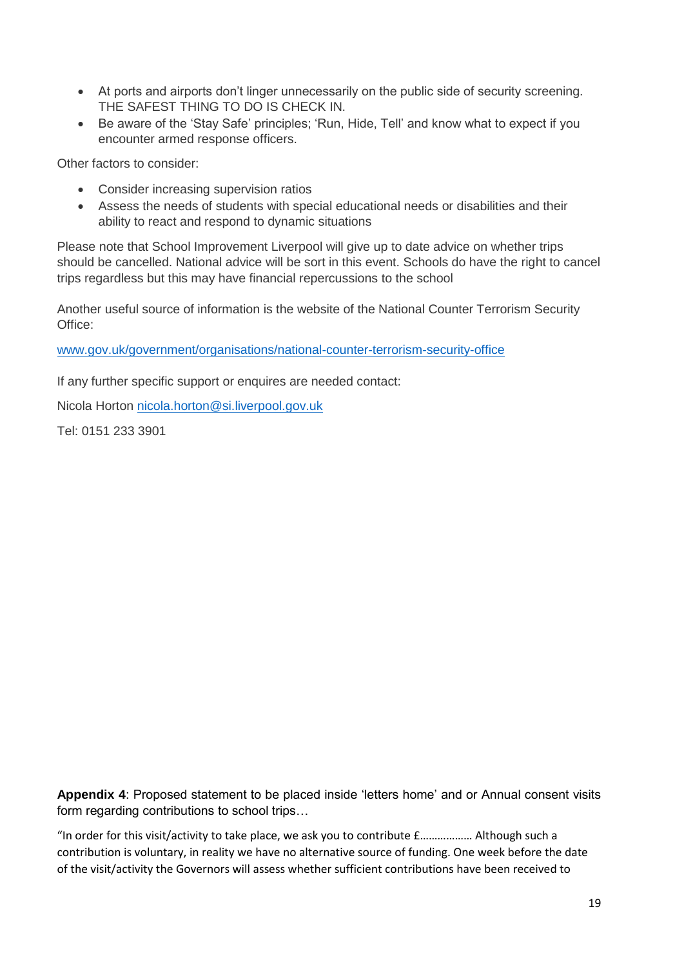- At ports and airports don't linger unnecessarily on the public side of security screening. THE SAFEST THING TO DO IS CHECK IN.
- Be aware of the 'Stay Safe' principles; 'Run, Hide, Tell' and know what to expect if you encounter armed response officers.

Other factors to consider:

- Consider increasing supervision ratios
- Assess the needs of students with special educational needs or disabilities and their ability to react and respond to dynamic situations

Please note that School Improvement Liverpool will give up to date advice on whether trips should be cancelled. National advice will be sort in this event. Schools do have the right to cancel trips regardless but this may have financial repercussions to the school

Another useful source of information is the website of the National Counter Terrorism Security Office:

[www.gov.uk/government/organisations/national-counter-terrorism-security-office](http://www.gov.uk/government/organisations/national-counter-terrorism-security-office)

If any further specific support or enquires are needed contact:

Nicola Horton [nicola.horton@si.liverpool.gov.uk](mailto:nicola.horton@si.liverpool.gov.uk)

Tel: 0151 233 3901

**Appendix 4**: Proposed statement to be placed inside 'letters home' and or Annual consent visits form regarding contributions to school trips…

"In order for this visit/activity to take place, we ask you to contribute £……………… Although such a contribution is voluntary, in reality we have no alternative source of funding. One week before the date of the visit/activity the Governors will assess whether sufficient contributions have been received to